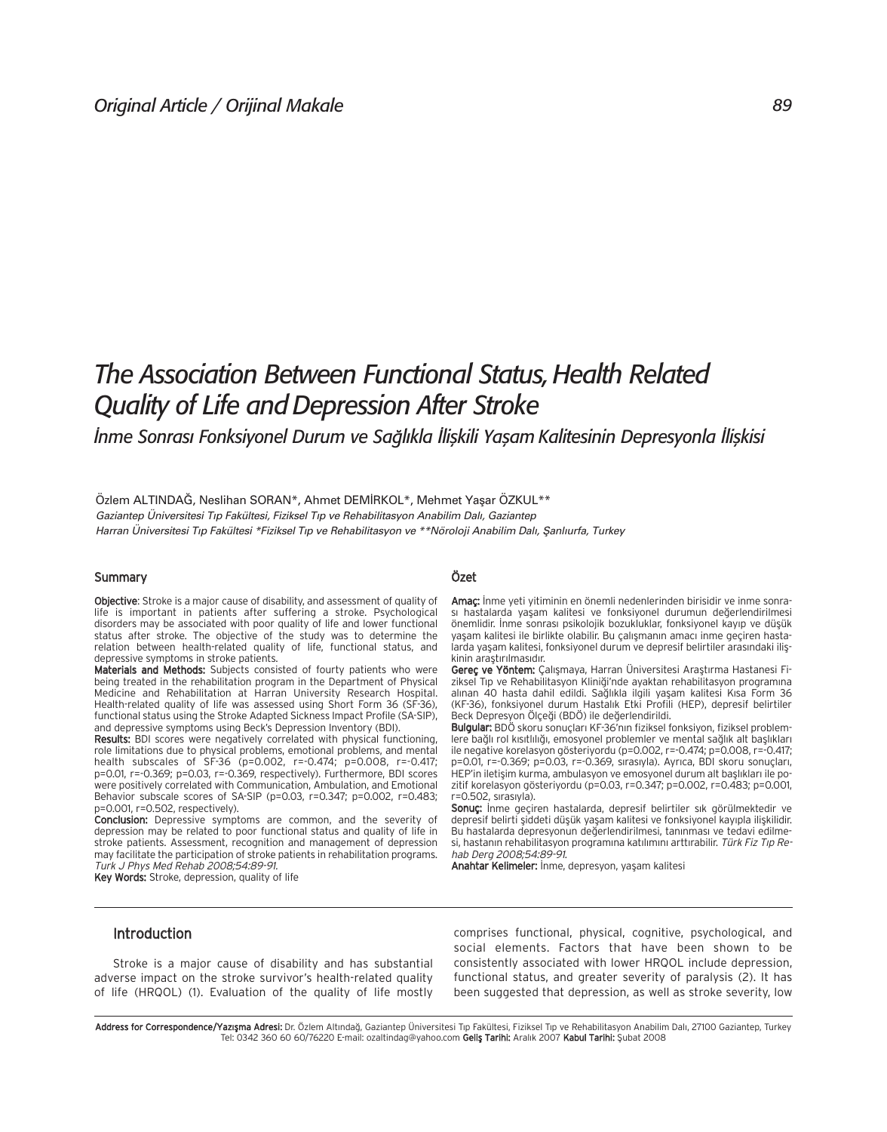# *The Association Between Functional Status, Health Related Quality of Life and Depression After Stroke*

*İnme Sonrası Fonksiyonel Durum ve Sağlıkla İlişkili Yaşam Kalitesinin Depresyonla İlişkisi* 

Özlem ALTINDAĞ, Neslihan SORAN\*, Ahmet DEMİRKOL\*, Mehmet Yaşar ÖZKUL\*\* *Gaziantep Üniversitesi T›p Fakültesi, Fiziksel T›p ve Rehabilitasyon Anabilim Dal›, Gaziantep Harran Üniversitesi T›p Fakültesi \*Fiziksel T›p ve Rehabilitasyon ve \*\*Nöroloji Anabilim Dal›, fianl›urfa, Turkey*

# Summary

Objective: Stroke is a major cause of disability, and assessment of quality of life is important in patients after suffering a stroke. Psychological disorders may be associated with poor quality of life and lower functional status after stroke. The objective of the study was to determine the relation between health-related quality of life, functional status, and depressive symptoms in stroke patients.

Materials and Methods: Subjects consisted of fourty patients who were being treated in the rehabilitation program in the Department of Physical Medicine and Rehabilitation at Harran University Research Hospital. Health-related quality of life was assessed using Short Form 36 (SF-36), functional status using the Stroke Adapted Sickness Impact Profile (SA-SIP), and depressive symptoms using Beck's Depression Inventory (BDI).

Results: BDI scores were negatively correlated with physical functioning, role limitations due to physical problems, emotional problems, and mental health subscales of SF-36 (p=0.002, r=-0.474; p=0.008, r=-0.417; p=0.01, r=-0.369; p=0.03, r=-0.369, respectively). Furthermore, BDI scores were positively correlated with Communication, Ambulation, and Emotional Behavior subscale scores of SA-SIP (p=0.03, r=0.347; p=0.002, r=0.483; p=0.001, r=0.502, respectively).

Conclusion: Depressive symptoms are common, and the severity of depression may be related to poor functional status and quality of life in stroke patients. Assessment, recognition and management of depression may facilitate the participation of stroke patients in rehabilitation programs. Turk J Phys Med Rehab 2008;54:89-91.

Key Words: Stroke, depression, quality of life

#### Özet

Amaç: İnme yeti yitiminin en önemli nedenlerinden birisidir ve inme sonrası hastalarda yaşam kalitesi ve fonksiyonel durumun değerlendirilmesi önemlidir. İnme sonrası psikolojik bozukluklar, fonksiyonel kayıp ve düşük yaşam kalitesi ile birlikte olabilir. Bu çalışmanın amacı inme geçiren hastalarda yaşam kalitesi, fonksiyonel durum ve depresif belirtiler arasındaki ilişkinin araştırılmasıdır.

Gereç ve Yöntem: Çalışmaya, Harran Üniversitesi Araştırma Hastanesi Fiziksel Tip ve Rehabilitasyon Kliniği'nde ayaktan rehabilitasyon programına alınan 40 hasta dahil edildi. Sağlıkla ilgili yaşam kalitesi Kısa Form 36 (KF-36), fonksiyonel durum Hastalık Etki Profili (HEP), depresif belirtiler Beck Depresyon Ölçeği (BDÖ) ile değerlendirildi.

Bulgular: BDÖ skoru sonuçları KF-36'nın fiziksel fonksiyon, fiziksel problemlere bağlı rol kısıtlılığı, emosyonel problemler ve mental sağlık alt başlıkları ile negative korelasyon gösteriyordu (p=0.002, r=-0.474; p=0.008, r=-0.417; p=0.01, r=-0.369; p=0.03, r=-0.369, sirasıyla). Ayrıca, BDI skoru sonuçları, HEP'in iletişim kurma, ambulasyon ve emosyonel durum alt başlıkları ile pozitif korelasyon gösteriyordu (p=0.03, r=0.347; p=0.002, r=0.483; p=0.001,  $r = 0.502$ , sirasiyla).

Sonuç: Inme geçiren hastalarda, depresif belirtiler sık görülmektedir ve depresif belirti şiddeti düşük yaşam kalitesi ve fonksiyonel kayıpla ilişkilidir. Bu hastalarda depresyonun değerlendirilmesi, tanınması ve tedavi edilmesi, hastanın rehabilitasyon programına katılımını arttırabilir. Türk Fiz Tıp Rehab Derg 2008;54:89-91.

Anahtar Kelimeler: İnme, depresyon, yaşam kalitesi

# Introduction

Stroke is a major cause of disability and has substantial adverse impact on the stroke survivor's health-related quality of life (HRQOL) (1). Evaluation of the quality of life mostly comprises functional, physical, cognitive, psychological, and social elements. Factors that have been shown to be consistently associated with lower HRQOL include depression, functional status, and greater severity of paralysis (2). It has been suggested that depression, as well as stroke severity, low

Address for Correspondence/Yazışma Adresi: Dr. Özlem Altındağ, Gaziantep Üniversitesi Tıp Fakültesi, Fiziksel Tıp ve Rehabilitasyon Anabilim Dalı, 27100 Gaziantep, Turkey Tel: 0342 360 60 60/76220 E-mail: ozaltindag@yahoo.com Geliş Tarihi: Aralık 2007 Kabul Tarihi: Şubat 2008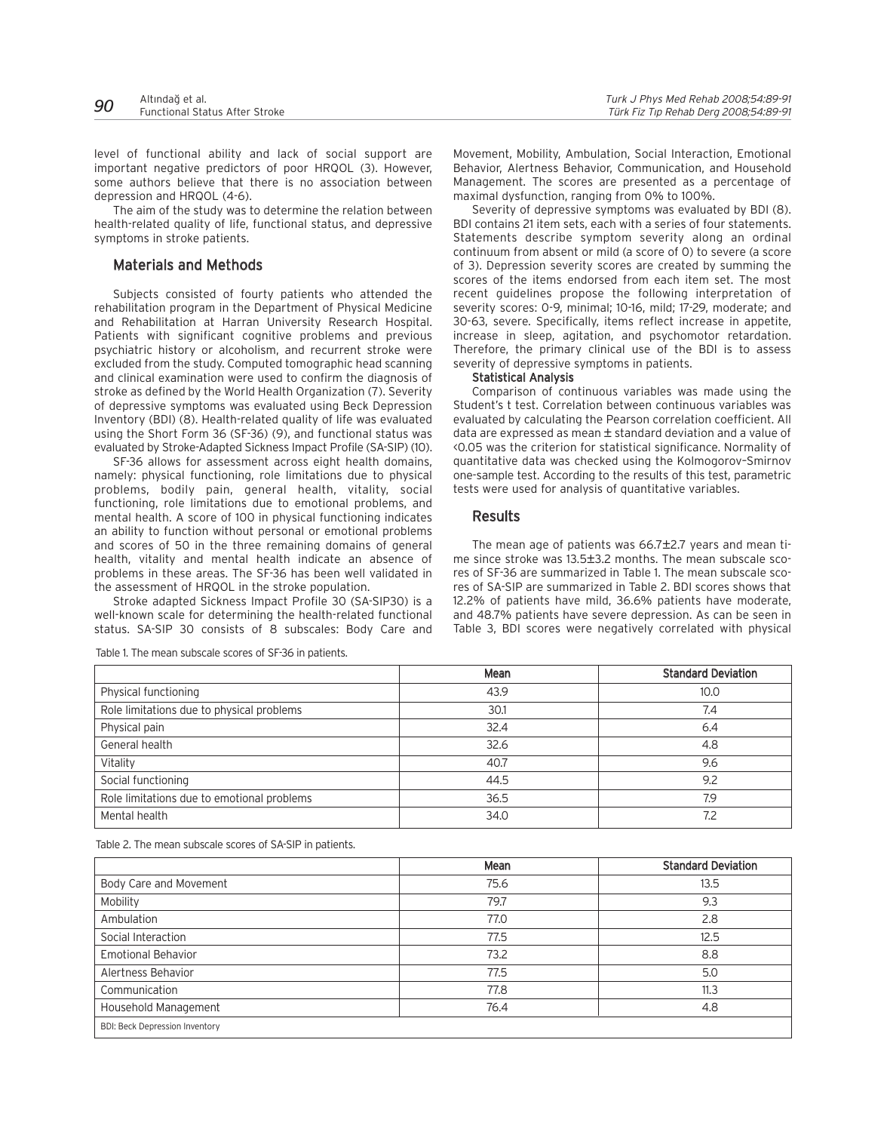| 90 | Altındağ et al.                       | Turk J Phys Med Rehab 2008;54:89-91   |
|----|---------------------------------------|---------------------------------------|
|    | <b>Functional Status After Stroke</b> | Türk Fiz Tıp Rehab Derg 2008;54:89-91 |

level of functional ability and lack of social support are important negative predictors of poor HRQOL (3). However, some authors believe that there is no association between depression and HRQOL (4-6).

The aim of the study was to determine the relation between health-related quality of life, functional status, and depressive symptoms in stroke patients.

# Materials and Methods

Subjects consisted of fourty patients who attended the rehabilitation program in the Department of Physical Medicine and Rehabilitation at Harran University Research Hospital. Patients with significant cognitive problems and previous psychiatric history or alcoholism, and recurrent stroke were excluded from the study. Computed tomographic head scanning and clinical examination were used to confirm the diagnosis of stroke as defined by the World Health Organization (7). Severity of depressive symptoms was evaluated using Beck Depression Inventory (BDI) (8). Health-related quality of life was evaluated using the Short Form 36 (SF-36) (9), and functional status was evaluated by Stroke-Adapted Sickness Impact Profile (SA-SIP) (10).

SF-36 allows for assessment across eight health domains, namely: physical functioning, role limitations due to physical problems, bodily pain, general health, vitality, social functioning, role limitations due to emotional problems, and mental health. A score of 100 in physical functioning indicates an ability to function without personal or emotional problems and scores of 50 in the three remaining domains of general health, vitality and mental health indicate an absence of problems in these areas. The SF-36 has been well validated in the assessment of HRQOL in the stroke population.

Stroke adapted Sickness Impact Profile 30 (SA-SIP30) is a well-known scale for determining the health-related functional status. SA-SIP 30 consists of 8 subscales: Body Care and Movement, Mobility, Ambulation, Social Interaction, Emotional Behavior, Alertness Behavior, Communication, and Household Management. The scores are presented as a percentage of maximal dysfunction, ranging from 0% to 100%.

Severity of depressive symptoms was evaluated by BDI (8). BDI contains 21 item sets, each with a series of four statements. Statements describe symptom severity along an ordinal continuum from absent or mild (a score of 0) to severe (a score of 3). Depression severity scores are created by summing the scores of the items endorsed from each item set. The most recent guidelines propose the following interpretation of severity scores: 0-9, minimal; 10-16, mild; 17-29, moderate; and 30-63, severe. Specifically, items reflect increase in appetite, increase in sleep, agitation, and psychomotor retardation. Therefore, the primary clinical use of the BDI is to assess severity of depressive symptoms in patients.

#### Statistical Analysis

Comparison of continuous variables was made using the Student's t test. Correlation between continuous variables was evaluated by calculating the Pearson correlation coefficient. All data are expressed as mean ± standard deviation and a value of <0.05 was the criterion for statistical significance. Normality of quantitative data was checked using the Kolmogorov–Smirnov one-sample test. According to the results of this test, parametric tests were used for analysis of quantitative variables.

## Results

The mean age of patients was 66.7±2.7 years and mean time since stroke was 13.5±3.2 months. The mean subscale scores of SF-36 are summarized in Table 1. The mean subscale scores of SA-SIP are summarized in Table 2. BDI scores shows that 12.2% of patients have mild, 36.6% patients have moderate, and 48.7% patients have severe depression. As can be seen in Table 3, BDI scores were negatively correlated with physical

|                                            | Mean | <b>Standard Deviation</b> |
|--------------------------------------------|------|---------------------------|
| Physical functioning                       | 43.9 | 10.0                      |
| Role limitations due to physical problems  | 30.1 | 7.4                       |
| Physical pain                              | 32.4 | 6.4                       |
| General health                             | 32.6 | 4.8                       |
| Vitality                                   | 40.7 | 9.6                       |
| Social functioning                         | 44.5 | 9.2                       |
| Role limitations due to emotional problems | 36.5 | 7.9                       |
| Mental health                              | 34.0 | 7.2                       |

Table 1. The mean subscale scores of SF-36 in patients.

Table 2. The mean subscale scores of SA-SIP in patients.

|                                       | Mean | <b>Standard Deviation</b> |
|---------------------------------------|------|---------------------------|
| Body Care and Movement                | 75.6 | 13.5                      |
| Mobility                              | 79.7 | 9.3                       |
| Ambulation                            | 77.0 | 2.8                       |
| Social Interaction                    | 77.5 | 12.5                      |
| <b>Emotional Behavior</b>             | 73.2 | 8.8                       |
| Alertness Behavior                    | 77.5 | 5.0                       |
| Communication                         | 77.8 | 11.3                      |
| Household Management                  | 76.4 | 4.8                       |
| <b>BDI: Beck Depression Inventory</b> |      |                           |